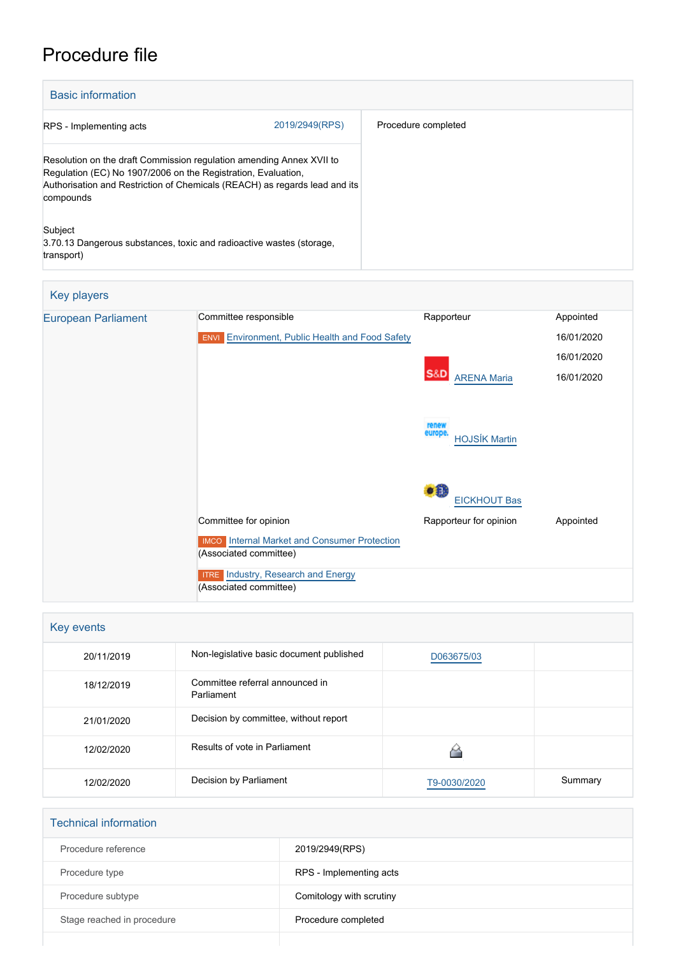## Procedure file

| <b>Basic information</b>                                                                                                                                                                                                         |                |                     |  |
|----------------------------------------------------------------------------------------------------------------------------------------------------------------------------------------------------------------------------------|----------------|---------------------|--|
| RPS - Implementing acts                                                                                                                                                                                                          | 2019/2949(RPS) | Procedure completed |  |
| Resolution on the draft Commission regulation amending Annex XVII to<br>Regulation (EC) No 1907/2006 on the Registration, Evaluation,<br>Authorisation and Restriction of Chemicals (REACH) as regards lead and its<br>compounds |                |                     |  |
| Subject<br>3.70.13 Dangerous substances, toxic and radioactive wastes (storage,<br>transport)                                                                                                                                    |                |                     |  |

| <b>Key players</b>         |                                                                               |                                               |            |
|----------------------------|-------------------------------------------------------------------------------|-----------------------------------------------|------------|
| <b>European Parliament</b> | Committee responsible                                                         | Rapporteur                                    | Appointed  |
|                            | <b>ENVI</b> Environment, Public Health and Food Safety                        |                                               | 16/01/2020 |
|                            |                                                                               |                                               | 16/01/2020 |
|                            |                                                                               | <b>S&amp;D</b><br><b>ARENA Maria</b>          | 16/01/2020 |
|                            |                                                                               | renew<br>europe<br><b>HOJSÍK Martin</b>       |            |
|                            | Committee for opinion                                                         | <b>EICKHOUT Bas</b><br>Rapporteur for opinion | Appointed  |
|                            | <b>IMCO</b> Internal Market and Consumer Protection<br>(Associated committee) |                                               |            |
|                            | <b>ITRE</b> Industry, Research and Energy<br>(Associated committee)           |                                               |            |

| Key events |                                               |              |         |
|------------|-----------------------------------------------|--------------|---------|
| 20/11/2019 | Non-legislative basic document published      | D063675/03   |         |
| 18/12/2019 | Committee referral announced in<br>Parliament |              |         |
| 21/01/2020 | Decision by committee, without report         |              |         |
| 12/02/2020 | Results of vote in Parliament                 |              |         |
| 12/02/2020 | Decision by Parliament                        | T9-0030/2020 | Summary |

| <b>Technical information</b> |                          |
|------------------------------|--------------------------|
| Procedure reference          | 2019/2949(RPS)           |
| Procedure type               | RPS - Implementing acts  |
| Procedure subtype            | Comitology with scrutiny |
| Stage reached in procedure   | Procedure completed      |
|                              |                          |